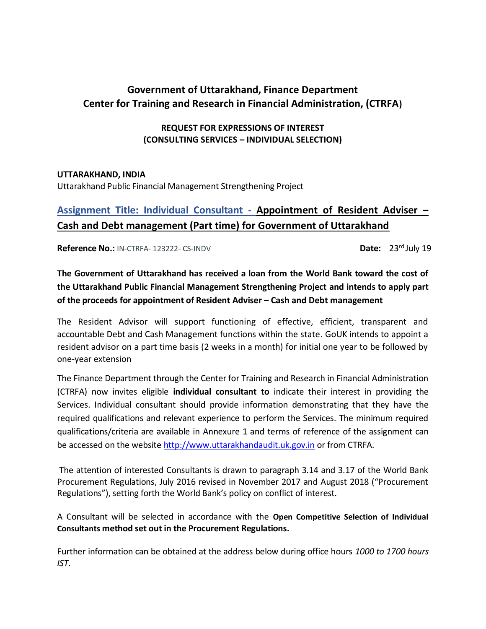## **Government of Uttarakhand, Finance Department Center for Training and Research in Financial Administration, (CTRFA)**

### **REQUEST FOR EXPRESSIONS OF INTEREST (CONSULTING SERVICES – INDIVIDUAL SELECTION)**

### **UTTARAKHAND, INDIA**

Uttarakhand Public Financial Management Strengthening Project

## **Assignment Title: Individual Consultant - Appointment of Resident Adviser – Cash and Debt management (Part time) for Government of Uttarakhand**

**Reference No.:** IN-CTRFA- 123222- CS-INDV **Date: 23<sup>rd</sup> July 19** 

### **The Government of Uttarakhand has received a loan from the World Bank toward the cost of the Uttarakhand Public Financial Management Strengthening Project and intends to apply part of the proceeds for appointment of Resident Adviser – Cash and Debt management**

The Resident Advisor will support functioning of effective, efficient, transparent and accountable Debt and Cash Management functions within the state. GoUK intends to appoint a resident advisor on a part time basis (2 weeks in a month) for initial one year to be followed by one-year extension

The Finance Department through the Center for Training and Research in Financial Administration (CTRFA) now invites eligible **individual consultant to** indicate their interest in providing the Services. Individual consultant should provide information demonstrating that they have the required qualifications and relevant experience to perform the Services. The minimum required qualifications/criteria are available in Annexure 1 and terms of reference of the assignment can be accessed on the website [http://www.uttarakhandaudit.uk.gov.in](http://www.uttarakhandaudit.uk.gov.in/) or from CTRFA.

The attention of interested Consultants is drawn to paragraph 3.14 and 3.17 of the World Bank Procurement Regulations, July 2016 revised in November 2017 and August 2018 ("Procurement Regulations"), setting forth the World Bank's policy on conflict of interest.

A Consultant will be selected in accordance with the **Open Competitive Selection of Individual Consultants method set out in the Procurement Regulations.**

Further information can be obtained at the address below during office hours *1000 to 1700 hours IST*.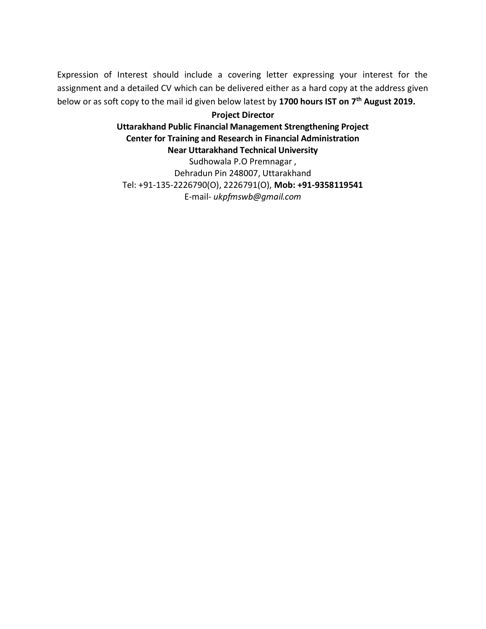Expression of Interest should include a covering letter expressing your interest for the assignment and a detailed CV which can be delivered either as a hard copy at the address given below or as soft copy to the mail id given below latest by **1700 hours IST on 7 th August 2019.** 

### **Project Director Uttarakhand Public Financial Management Strengthening Project Center for Training and Research in Financial Administration Near Uttarakhand Technical University**

Sudhowala P.O Premnagar , Dehradun Pin 248007, Uttarakhand Tel: +91-135-2226790(O), 2226791(O), **Mob: +91-9358119541** E-mail- *ukpfmswb@gmail.com*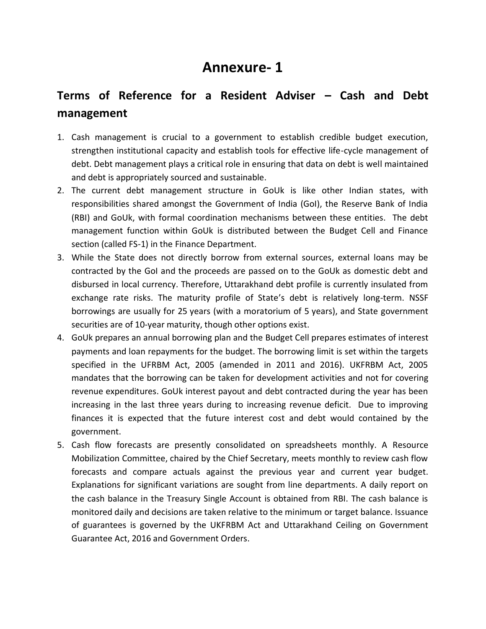# **Annexure- 1**

# **Terms of Reference for a Resident Adviser – Cash and Debt management**

- 1. Cash management is crucial to a government to establish credible budget execution, strengthen institutional capacity and establish tools for effective life-cycle management of debt. Debt management plays a critical role in ensuring that data on debt is well maintained and debt is appropriately sourced and sustainable.
- 2. The current debt management structure in GoUk is like other Indian states, with responsibilities shared amongst the Government of India (GoI), the Reserve Bank of India (RBI) and GoUk, with formal coordination mechanisms between these entities. The debt management function within GoUk is distributed between the Budget Cell and Finance section (called FS-1) in the Finance Department.
- 3. While the State does not directly borrow from external sources, external loans may be contracted by the GoI and the proceeds are passed on to the GoUk as domestic debt and disbursed in local currency. Therefore, Uttarakhand debt profile is currently insulated from exchange rate risks. The maturity profile of State's debt is relatively long-term. NSSF borrowings are usually for 25 years (with a moratorium of 5 years), and State government securities are of 10-year maturity, though other options exist.
- 4. GoUk prepares an annual borrowing plan and the Budget Cell prepares estimates of interest payments and loan repayments for the budget. The borrowing limit is set within the targets specified in the UFRBM Act, 2005 (amended in 2011 and 2016). UKFRBM Act, 2005 mandates that the borrowing can be taken for development activities and not for covering revenue expenditures. GoUk interest payout and debt contracted during the year has been increasing in the last three years during to increasing revenue deficit. Due to improving finances it is expected that the future interest cost and debt would contained by the government.
- 5. Cash flow forecasts are presently consolidated on spreadsheets monthly. A Resource Mobilization Committee, chaired by the Chief Secretary, meets monthly to review cash flow forecasts and compare actuals against the previous year and current year budget. Explanations for significant variations are sought from line departments. A daily report on the cash balance in the Treasury Single Account is obtained from RBI. The cash balance is monitored daily and decisions are taken relative to the minimum or target balance. Issuance of guarantees is governed by the UKFRBM Act and Uttarakhand Ceiling on Government Guarantee Act, 2016 and Government Orders.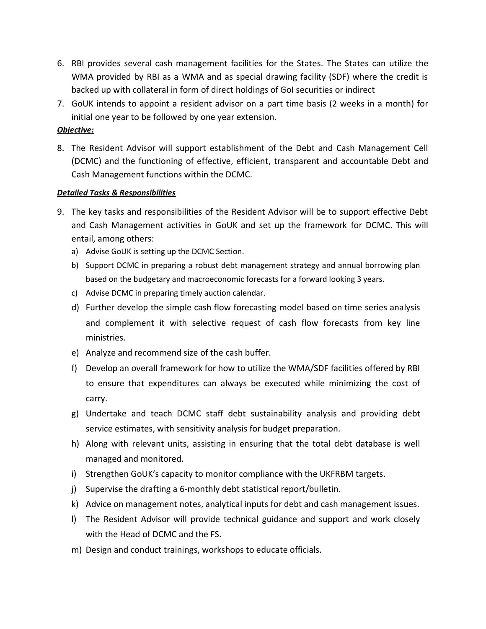- 6. RBI provides several cash management facilities for the States. The States can utilize the WMA provided by RBI as a WMA and as special drawing facility (SDF) where the credit is backed up with collateral in form of direct holdings of GoI securities or indirect
- 7. GoUK intends to appoint a resident advisor on a part time basis (2 weeks in a month) for initial one year to be followed by one year extension.

### *Objective:*

8. The Resident Advisor will support establishment of the Debt and Cash Management Cell (DCMC) and the functioning of effective, efficient, transparent and accountable Debt and Cash Management functions within the DCMC.

### *Detailed Tasks & Responsibilities*

- 9. The key tasks and responsibilities of the Resident Advisor will be to support effective Debt and Cash Management activities in GoUK and set up the framework for DCMC. This will entail, among others:
	- a) Advise GoUK is setting up the DCMC Section.
	- b) Support DCMC in preparing a robust debt management strategy and annual borrowing plan based on the budgetary and macroeconomic forecasts for a forward looking 3 years.
	- c) Advise DCMC in preparing timely auction calendar.
	- d) Further develop the simple cash flow forecasting model based on time series analysis and complement it with selective request of cash flow forecasts from key line ministries.
	- e) Analyze and recommend size of the cash buffer.
	- f) Develop an overall framework for how to utilize the WMA/SDF facilities offered by RBI to ensure that expenditures can always be executed while minimizing the cost of carry.
	- g) Undertake and teach DCMC staff debt sustainability analysis and providing debt service estimates, with sensitivity analysis for budget preparation.
	- h) Along with relevant units, assisting in ensuring that the total debt database is well managed and monitored.
	- i) Strengthen GoUK's capacity to monitor compliance with the UKFRBM targets.
	- j) Supervise the drafting a 6-monthly debt statistical report/bulletin.
	- k) Advice on management notes, analytical inputs for debt and cash management issues.
	- l) The Resident Advisor will provide technical guidance and support and work closely with the Head of DCMC and the FS.
	- m) Design and conduct trainings, workshops to educate officials.